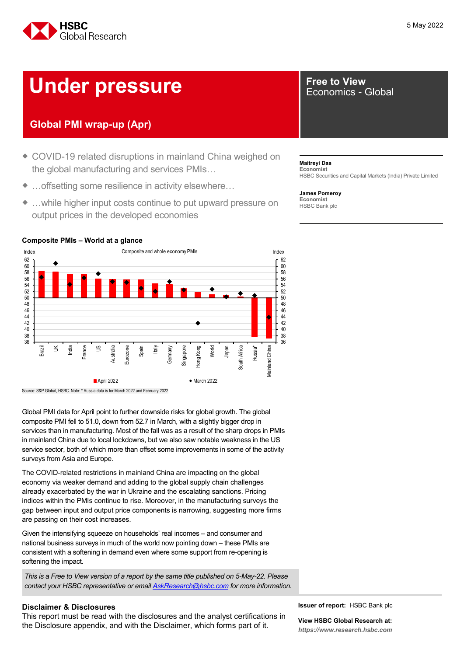

# **Under pressure Free to View <b>Property** Economics -

# **Global PMI wrap-up (Apr)**

- ◆ COVID-19 related disruptions in mainland China weighed on the global manufacturing and services PMIs…
- …offsetting some resilience in activity elsewhere…
- ◆ ...while higher input costs continue to put upward pressure on output prices in the developed economies

# Economics - Global

**Maitreyi Das Economist** HSBC Securities and Capital Markets (India) Private Limited

**James Pomeroy Economist** HSBC Bank plc



**Composite PMIs – World at a glance** 



Source: S&P Global, HSBC. Note: \* Russia data is for March 2022 and February 2022

Global PMI data for April point to further downside risks for global growth. The global composite PMI fell to 51.0, down from 52.7 in March, with a slightly bigger drop in services than in manufacturing. Most of the fall was as a result of the sharp drops in PMIs in mainland China due to local lockdowns, but we also saw notable weakness in the US service sector, both of which more than offset some improvements in some of the activity surveys from Asia and Europe.

The COVID-related restrictions in mainland China are impacting on the global economy via weaker demand and adding to the global supply chain challenges already exacerbated by the war in Ukraine and the escalating sanctions. Pricing indices within the PMIs continue to rise. Moreover, in the manufacturing surveys the gap between input and output price components is narrowing, suggesting more firms are passing on their cost increases.

Given the intensifying squeeze on households' real incomes – and consumer and national business surveys in much of the world now pointing down – these PMIs are consistent with a softening in demand even where some support from re-opening is softening the impact.

*This is a Free to View version of a report by the same title published on 5-May-22. Please contact your HSBC representative or email [AskResearch@hsbc.com](mailto:AskResearch@hsbc.com) for more information.*

### **Disclaimer & Disclosures**

This report must be read with the disclosures and the analyst certifications in the Disclosure appendix, and with the Disclaimer, which forms part of it.

**Issuer of report:** HSBC Bank plc

**View HSBC Global Research at:** *[https://www.research.hsbc.com](http://www.research.hsbc.com/)*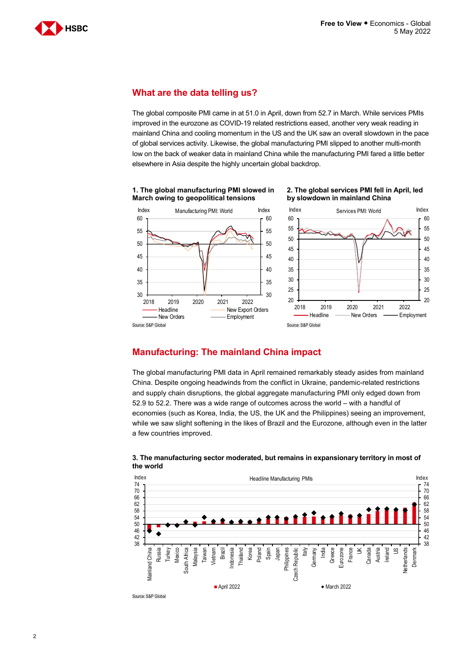

### **What are the data telling us?**

The global composite PMI came in at 51.0 in April, down from 52.7 in March. While services PMIs improved in the eurozone as COVID-19 related restrictions eased, another very weak reading in mainland China and cooling momentum in the US and the UK saw an overall slowdown in the pace of global services activity. Likewise, the global manufacturing PMI slipped to another multi-month low on the back of weaker data in mainland China while the manufacturing PMI fared a little better elsewhere in Asia despite the highly uncertain global backdrop.





#### **2. The global services PMI fell in April, led by slowdown in mainland China**

# **Manufacturing: The mainland China impact**

The global manufacturing PMI data in April remained remarkably steady asides from mainland China. Despite ongoing headwinds from the conflict in Ukraine, pandemic-related restrictions and supply chain disruptions, the global aggregate manufacturing PMI only edged down from 52.9 to 52.2. There was a wide range of outcomes across the world – with a handful of economies (such as Korea, India, the US, the UK and the Philippines) seeing an improvement, while we saw slight softening in the likes of Brazil and the Eurozone, although even in the latter a few countries improved.



#### **3. The manufacturing sector moderated, but remains in expansionary territory in most of the world**

Source: S&P Globa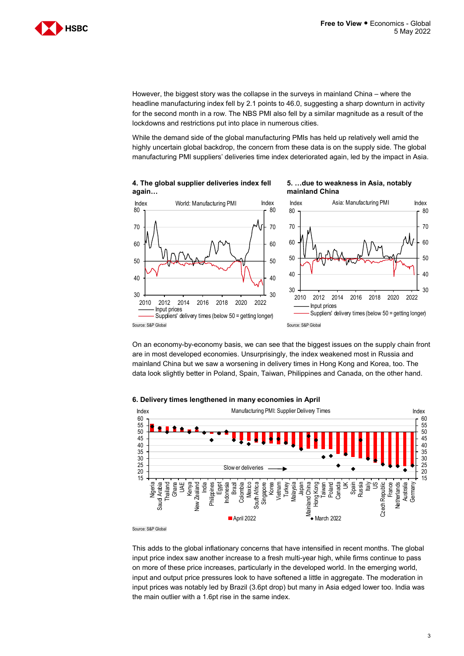

However, the biggest story was the collapse in the surveys in mainland China – where the headline manufacturing index fell by 2.1 points to 46.0, suggesting a sharp downturn in activity for the second month in a row. The NBS PMI also fell by a similar magnitude as a result of the lockdowns and restrictions put into place in numerous cities.

While the demand side of the global manufacturing PMIs has held up relatively well amid the highly uncertain global backdrop, the concern from these data is on the supply side. The global manufacturing PMI suppliers' deliveries time index deteriorated again, led by the impact in Asia.







On an economy-by-economy basis, we can see that the biggest issues on the supply chain front are in most developed economies. Unsurprisingly, the index weakened most in Russia and mainland China but we saw a worsening in delivery times in Hong Kong and Korea, too. The data look slightly better in Poland, Spain, Taiwan, Philippines and Canada, on the other hand.

#### Index **Index** Manufacturing PMI: Supplier Delivery Times **Index** Index 60 60 55 55 50 50 45 45 40 40 35 35 30 30 25 25 Slow er deliveries20 20 15 15 **Turkey** Russia France Ghana UAE Kenya Brazil Mexico **Singapore** Korea Vietnam Malaysia Mainland China Italy US Czech Republic Vetherlands Nigeria Saud Arabia Saudi Arabia Thailand New Zealand India Egypt Indonesia Colombia South Africa South Africa Japan Mainland China Hong Kong Taiwan Poland Canada UK Spain Czech Republic Netherlands Australia Germany **Vew Zealand** Philippines April 2022  $\rightarrow$  March 2022

#### **6. Delivery times lengthened in many economies in April**

Source: S&P Global

This adds to the global inflationary concerns that have intensified in recent months. The global input price index saw another increase to a fresh multi-year high, while firms continue to pass on more of these price increases, particularly in the developed world. In the emerging world, input and output price pressures look to have softened a little in aggregate. The moderation in input prices was notably led by Brazil (3.6pt drop) but many in Asia edged lower too. India was the main outlier with a 1.6pt rise in the same index.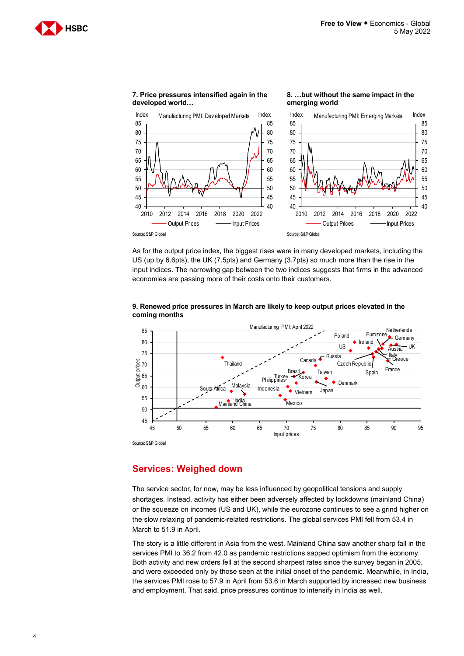**8. …but without the same impact in the** 





**7. Price pressures intensified again in the developed world…** 

As for the output price index, the biggest rises were in many developed markets, including the US (up by 6.6pts), the UK (7.5pts) and Germany (3.7pts) so much more than the rise in the input indices. The narrowing gap between the two indices suggests that firms in the advanced economies are passing more of their costs onto their customers.



#### **9. Renewed price pressures in March are likely to keep output prices elevated in the coming months**

# **Services: Weighed down**

The service sector, for now, may be less influenced by geopolitical tensions and supply shortages. Instead, activity has either been adversely affected by lockdowns (mainland China) or the squeeze on incomes (US and UK), while the eurozone continues to see a grind higher on the slow relaxing of pandemic-related restrictions. The global services PMI fell from 53.4 in March to 51.9 in April.

The story is a little different in Asia from the west. Mainland China saw another sharp fall in the services PMI to 36.2 from 42.0 as pandemic restrictions sapped optimism from the economy. Both activity and new orders fell at the second sharpest rates since the survey began in 2005, and were exceeded only by those seen at the initial onset of the pandemic. Meanwhile, in India, the services PMI rose to 57.9 in April from 53.6 in March supported by increased new business and employment. That said, price pressures continue to intensify in India as well.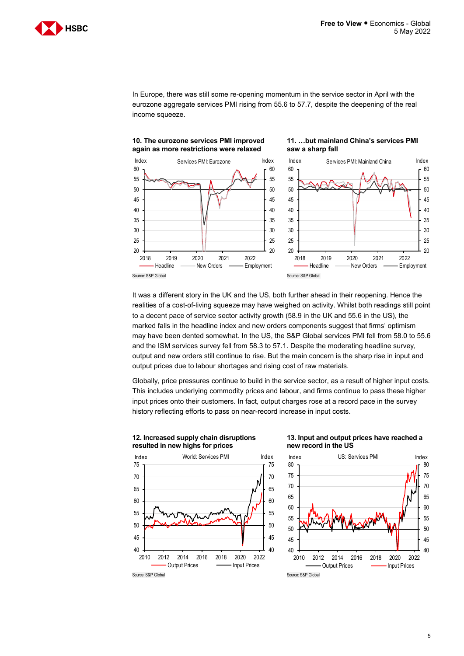**11. …but mainland China's services PMI** 

**saw a sharp fall**



In Europe, there was still some re-opening momentum in the service sector in April with the eurozone aggregate services PMI rising from 55.6 to 57.7, despite the deepening of the real income squeeze.





It was a different story in the UK and the US, both further ahead in their reopening. Hence the realities of a cost-of-living squeeze may have weighed on activity. Whilst both readings still point to a decent pace of service sector activity growth (58.9 in the UK and 55.6 in the US), the marked falls in the headline index and new orders components suggest that firms' optimism may have been dented somewhat. In the US, the S&P Global services PMI fell from 58.0 to 55.6 and the ISM services survey fell from 58.3 to 57.1. Despite the moderating headline survey, output and new orders still continue to rise. But the main concern is the sharp rise in input and output prices due to labour shortages and rising cost of raw materials.

Globally, price pressures continue to build in the service sector, as a result of higher input costs. This includes underlying commodity prices and labour, and firms continue to pass these higher input prices onto their customers. In fact, output charges rose at a record pace in the survey history reflecting efforts to pass on near-record increase in input costs.



#### **12. Increased supply chain disruptions resulted in new highs for prices**

### **13. Input and output prices have reached a new record in the US**

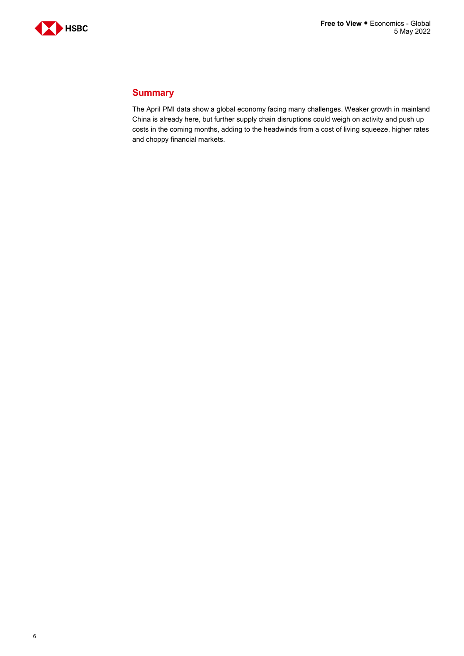

# **Summary**

The April PMI data show a global economy facing many challenges. Weaker growth in mainland China is already here, but further supply chain disruptions could weigh on activity and push up costs in the coming months, adding to the headwinds from a cost of living squeeze, higher rates and choppy financial markets.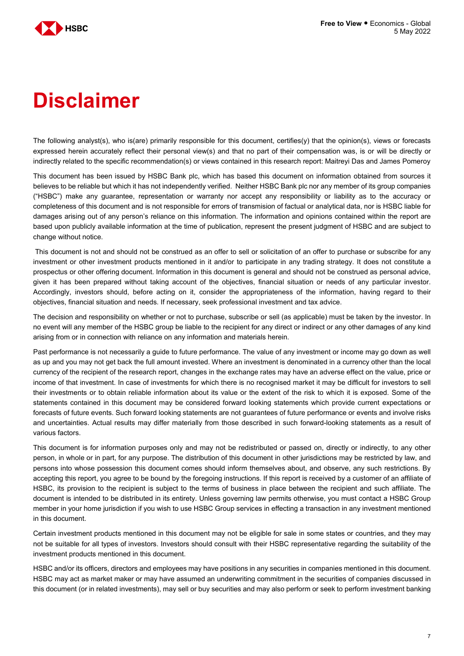

# **Disclaimer**

The following analyst(s), who is(are) primarily responsible for this document, certifies(y) that the opinion(s), views or forecasts expressed herein accurately reflect their personal view(s) and that no part of their compensation was, is or will be directly or indirectly related to the specific recommendation(s) or views contained in this research report: Maitreyi Das and James Pomeroy

This document has been issued by HSBC Bank plc, which has based this document on information obtained from sources it believes to be reliable but which it has not independently verified. Neither HSBC Bank plc nor any member of its group companies ("HSBC") make any guarantee, representation or warranty nor accept any responsibility or liability as to the accuracy or completeness of this document and is not responsible for errors of transmision of factual or analytical data, nor is HSBC liable for damages arising out of any person's reliance on this information. The information and opinions contained within the report are based upon publicly available information at the time of publication, represent the present judgment of HSBC and are subject to change without notice.

This document is not and should not be construed as an offer to sell or solicitation of an offer to purchase or subscribe for any investment or other investment products mentioned in it and/or to participate in any trading strategy. It does not constitute a prospectus or other offering document. Information in this document is general and should not be construed as personal advice, given it has been prepared without taking account of the objectives, financial situation or needs of any particular investor. Accordingly, investors should, before acting on it, consider the appropriateness of the information, having regard to their objectives, financial situation and needs. If necessary, seek professional investment and tax advice.

The decision and responsibility on whether or not to purchase, subscribe or sell (as applicable) must be taken by the investor. In no event will any member of the HSBC group be liable to the recipient for any direct or indirect or any other damages of any kind arising from or in connection with reliance on any information and materials herein.

Past performance is not necessarily a guide to future performance. The value of any investment or income may go down as well as up and you may not get back the full amount invested. Where an investment is denominated in a currency other than the local currency of the recipient of the research report, changes in the exchange rates may have an adverse effect on the value, price or income of that investment. In case of investments for which there is no recognised market it may be difficult for investors to sell their investments or to obtain reliable information about its value or the extent of the risk to which it is exposed. Some of the statements contained in this document may be considered forward looking statements which provide current expectations or forecasts of future events. Such forward looking statements are not guarantees of future performance or events and involve risks and uncertainties. Actual results may differ materially from those described in such forward-looking statements as a result of various factors.

This document is for information purposes only and may not be redistributed or passed on, directly or indirectly, to any other person, in whole or in part, for any purpose. The distribution of this document in other jurisdictions may be restricted by law, and persons into whose possession this document comes should inform themselves about, and observe, any such restrictions. By accepting this report, you agree to be bound by the foregoing instructions. If this report is received by a customer of an affiliate of HSBC, its provision to the recipient is subject to the terms of business in place between the recipient and such affiliate. The document is intended to be distributed in its entirety. Unless governing law permits otherwise, you must contact a HSBC Group member in your home jurisdiction if you wish to use HSBC Group services in effecting a transaction in any investment mentioned in this document.

Certain investment products mentioned in this document may not be eligible for sale in some states or countries, and they may not be suitable for all types of investors. Investors should consult with their HSBC representative regarding the suitability of the investment products mentioned in this document.

HSBC and/or its officers, directors and employees may have positions in any securities in companies mentioned in this document. HSBC may act as market maker or may have assumed an underwriting commitment in the securities of companies discussed in this document (or in related investments), may sell or buy securities and may also perform or seek to perform investment banking